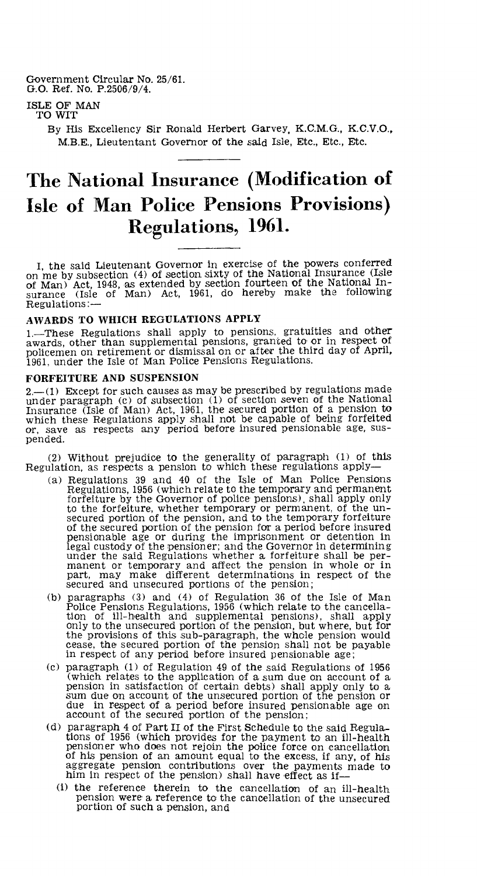Government Circular No. 25/61. G.O. Ref. No. P.2506/9/4.

# ISLE OF MAN TO WIT

By His Excellency Sir Ronald Herbert Garvey, K.C.M.G., K.C.V.O., M.B.E., Lieutentant Governor of the said Isle, Etc., Etc., Etc.

# **The National Insurance (Modification of Isle of Man Police Pensions Provisions) Regulations, 1961.**

I, the said Lieutenant Governor in exercise of the powers conferred on me by subsection (4) of section sixty of the National Insurance (Isle of Man) Act, 1948, as extended by section fourteen of the National In-surance (Isle of Man) Act, 1961, do hereby make the following Regulations:—

### AWARDS TO WHICH REGULATIONS APPLY

1.—These Regulations shall apply to pensions, gratuities and other awards, other than supplemental pensions, granted to or in respect of policemen on retirement or dismissal on or after the third day of April, 1961, under the Isle of Man Police Pensions Regulations.

#### FORFEITURE AND SUSPENSION

 $-$ (1) Except for such causes as may be prescribed by regulations made under paragraph (c) of subsection (1) of section seven of the National Insurance (Isle of Man) Act, 1961, the secured portion of a pension to which these Regulations apply shall not be capable of being forfeited or, save as respects any period before insured pensionable age, suspended.

(2) Without prejudice to the generality of paragraph (1) of this Regulation, as respects a pension to which these regulations apply—

- (a) Regulations 39 and 40 of the Isle of Man Police Pensions Regulations, 1956 (which relate to the temporary and permanent forfeiture by the Governor of police pensions), shall apply only to the forfeiture, whether temporary or permanent, of the un-secured portion of the pension, and to the temporary forfeiture of the secured portion of the pension for a period before insured pensionable age or during the imprisonment or detention in legal custody of the pensioner; and the Governor in determining under the said Regulations whether a forfeiture shall be per-manent or temporary and affect the pension in whole or in part, may make different determinations in respect of the secured and unsecured portions of the pension;
- (b) paragraphs (3) and (4) of Regulation 36 of the Isle of Man Police Pensions Regulations, 1956 (which relate to the cancellation of ill-health and supplemental pensions), shall apply only to the unsecured portion of the pension, but where, but for the provisions of this sub-paragraph, the whole pension would cease, the secured portion of the pension shall not be payable in respect of any period before insured pensionable age;
- (c) paragraph (1) of Regulation 49 of the said Regulations of 1956 (which relates to the application of a sum due on account of a pension in satisfaction of certain debts) shall apply only to a sum due on account of the unsecured portion of the pension or due in respect of a period before insured pensionable age on account of the secured portion of the pension;
- (d) paragraph 4 of Part II of the First Schedule to the said Regulations of 1956 (which provides for the payment to an ill-health pensioner who does not rejoin the police force on cancellation of his pension of an amount equal to the excess, if any, of his aggregate pension contributions over the payments made to him in respect of the pension) shall have effect as if—
	- (i) the reference therein to the cancellation of an ill-health pension were a reference to the cancellation of the unsecured portion of such a pension, and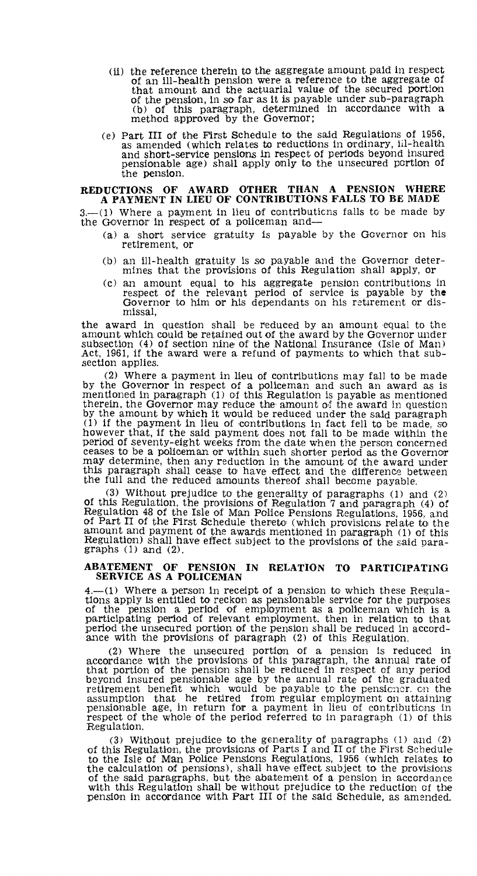- (ii) the reference therein to the aggregate amount paid in respect of an ill-health pension were a reference to the aggregate of that amount and the actuarial value of the secured portion of the pension, in so far as it is payable under sub-paragraph (b) of this paragraph, determined in accordance with a method approved by the Governor;
- (e) Part III of the First Schedule to the said Regulations of 1956, as amended (which relates to reductions in ordinary, iil-health and short-service pensions in respect of periods beyond insured pensionable age) shall apply only to the unsecured portion of the pension.

#### **REDUCTIONS OF AWARD OTHER THAN A PENSION WHERE A PAYMENT IN LIEU OF CONTRIBUTIONS FALLS TO BE MADE**

 $-(1)$  Where a payment in lieu of contributions falls to be made by the Governor in respect of a policeman and—

- (a) a short service gratuity is payable by the Governor on his retirement, or
- (b) an ill-health gratuity is so payable and the Governor deter-mines that the provisions of this Regulation shall apply, or
- (c) an amount equal to his aggregate pension contributions in respect of the relevant period of service is payable by the Governor to him or his dependants on his retirement or dismissal,

the award in question shall be reduced by an amount equal to the amount which could be retained out of the award by the Governor under subsection (4) of section nine of the National Insurance (Isle of Man) Act, 1961, if the award were a refund of payments to which that subsection applies.

(2) Where a payment in lieu of contributions may fall to be made by the Governor in respect of a policeman and such an award as is mentioned in paragraph (1) of this Regulation is payable as mentioned therein, the Governor may reduce the amount of the award in question by the amount by which it would be reduced under the said paragraph (1) if the payment in lieu of contributions in fact fell to be made, so however that, if the said payment does not fall to be made within the period of seventy-eight weeks from the date when the person concerned ceases to be a policeman or within such shorter period as the Governor may determine, then any reduction in the amount of the award under this paragraph shall cease to have effect and the difference between the full and the reduced amounts thereof shall become payable.

(3) Without prejudice to the generality of paragraphs (1) and (2) of this Regulation, the provisions of Regulation 7 and paragraph (4) of Regulation 48 of the Isle of Man Police Pensions Regulations, 1956, and of Part II of the First Schedule thereto (which provisions relate to the amount and payment of the awards mentioned in paragraph (1) of this Regulation) shall have effect subject to the provisions of the said paragraphs  $(1)$  and  $(2)$ .

## **ABATEMENT OF PENSION IN RELATION TO PARTICIPATING SERVICE AS A POLICEMAN**

 $4.$ —(1) Where a person in receipt of a pension to which these Regulations apply is entitled to reckon as pensionable service for the purposes of the pension a period of employment as a policeman which is a participating period the unsecured portion of the pension shall be reduced in accordance with the provisions of paragraph (2) of this Regulation.

(2) Where the unsecured portion of a pension is reduced in accordance with the provisions of this paragraph, the annual rate of that portion of the pension shall be reduced in respect of any period beyond insured pensionable age by the annual rate of the graduated retirement benefit which would be payable to the pensioner. cn the assumption that he retired from regular employment on attaining pensionable age, in return for a payment in lieu of contributions in respect of the whole of the period referred to in paragraph (1) of this Regulation.

(3) Without prejudice to the generality of paragraphs (1) and (2) of this Regulation, the provisions of Parts I and II of the First Schedule' to the Isle of Man Police Pensions Regulations, 1956 (which relates to the calculation of pensions), shall have effect subject to the provisions of the said paragraphs, but the abatement of a pension in accordance with this Regulation shall be without prejudice to the reduction of the pension in accordance with Part III of the said Schedule, as amended.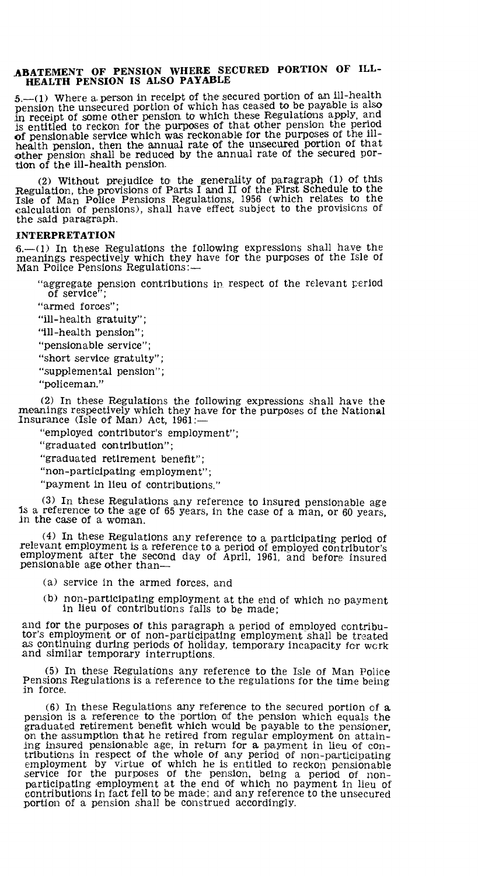#### **ABATEMENT OF PENSION WHERE SECURED PORTION OF ILL-HEALTH PENSION IS ALSO PAYABLE**

 $5-(1)$  Where a person in receipt of the secured portion of an ill-health pension the unsecured portion of which has ceased to be payable is also in receipt of some other pension to which these Regulations apply, and is entitled to reckon for the purposes of that other pension the period of pensionable service which was reckonable for the purposes of the ill-health pension, then the annual rate of the unsecured portion of that other pension shall be reduced by the annual rate of the secured portion of the ill-health pension.

(2) Without prejudice to the generality of paragraph (1) of this Regulation, the provisions of Parts I and II of the First Schedule to the Isle of Man Police Pensions Regulations, 1956 (which relates to the calculation of pensions), shall have effect subject to the provisions of the said paragraph.

#### **INTERPRETATION**

6.—(1) In these Regulations the following expressions shall have the meanings respectively which they have for the purposes of the Isle of Man Police Pensions Regulations:—

"aggregate pension contributions in respect of the relevant period of service";

"armed forces";

"ill-health gratuity";

"ill-health pension";

"pensionable service";

"short service gratuity";

"supplemental pension";

"policeman."

(2) In these Regulations the following expressions shall have the meanings respectively which they have for the purposes of the National Insurance (Isle of Man) Act, 1961:—

"employed contributor's employment";

"graduated contribution";

"graduated retirement benefit";

"non-participating employment";

"payment in lieu of contributions."

 $(3)$  In these Regulations any reference to insured pensionable age is a reference to the age of 65 years, in the case of a man, or 60 years, in the case of a woman.

(4) In these Regulations any reference to a participating period of relevant employment is a reference to a period of employed contributor's employment after the second day of April, 1961, and before insured pensionable age other than—

(a) service in the armed forces, and

(b) non-participating employment at the end of which no payment in lieu of contributions falls to be made;

and for the purposes of this paragraph a period of employed contributor's employment or of non-participating employment shall be treated as continuing during periods of holiday, temporary incapacity for work and similar temporary interruptions.

(5) In these Regulations any reference to the Isle of Man Police Pensions Regulations is a reference to the regulations for the time being in force.

(6) In these Regulations any reference to the secured portion of a pension is a reference to the portion of the pension which equals the graduated retirement benefit which would be payable to the pensioner, on the assumption that he retired from regular employment on attaining insured pensionable age, in return for a payment in lieu of contributions in respect of the whole of any period of non-participating employment by virtue of which he is entitled to reckon pensionable service for the purposes of the pension, being a period of nonparticipating employment at the end of which no payment in lieu of contributions in fact fell to be made; and any reference to the unsecured portion of a pension shall be construed accordingly.